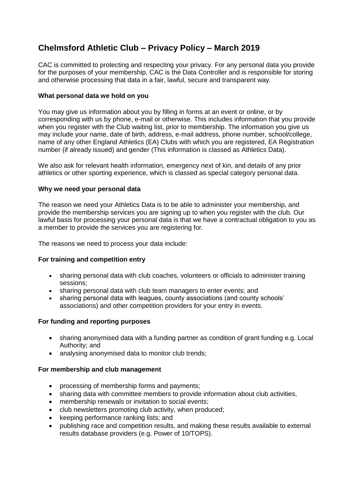# **Chelmsford Athletic Club – Privacy Policy – March 2019**

CAC is committed to protecting and respecting your privacy. For any personal data you provide for the purposes of your membership, CAC is the Data Controller and is responsible for storing and otherwise processing that data in a fair, lawful, secure and transparent way.

## **What personal data we hold on you**

You may give us information about you by filling in forms at an event or online, or by corresponding with us by phone, e-mail or otherwise. This includes information that you provide when you register with the Club waiting list, prior to membership. The information you give us may include your name, date of birth, address, e-mail address, phone number, school/college, name of any other England Athletics (EA) Clubs with which you are registered, EA Registration number (if already issued) and gender (This information is classed as Athletics Data).

We also ask for relevant health information, emergency next of kin, and details of any prior athletics or other sporting experience, which is classed as special category personal data.

### **Why we need your personal data**

The reason we need your Athletics Data is to be able to administer your membership, and provide the membership services you are signing up to when you register with the club. Our lawful basis for processing your personal data is that we have a contractual obligation to you as a member to provide the services you are registering for.

The reasons we need to process your data include:

### **For training and competition entry**

- sharing personal data with club coaches, volunteers or officials to administer training sessions;
- sharing personal data with club team managers to enter events; and
- sharing personal data with leagues, county associations (and county schools' associations) and other competition providers for your entry in events.

### **For funding and reporting purposes**

- sharing anonymised data with a funding partner as condition of grant funding e.g. Local Authority; and
- analysing anonymised data to monitor club trends;

### **For membership and club management**

- processing of membership forms and payments;
- sharing data with committee members to provide information about club activities,
- membership renewals or invitation to social events;
- club newsletters promoting club activity, when produced;
- keeping performance ranking lists; and
- publishing race and competition results, and making these results available to external results database providers (e.g. Power of 10/TOPS).